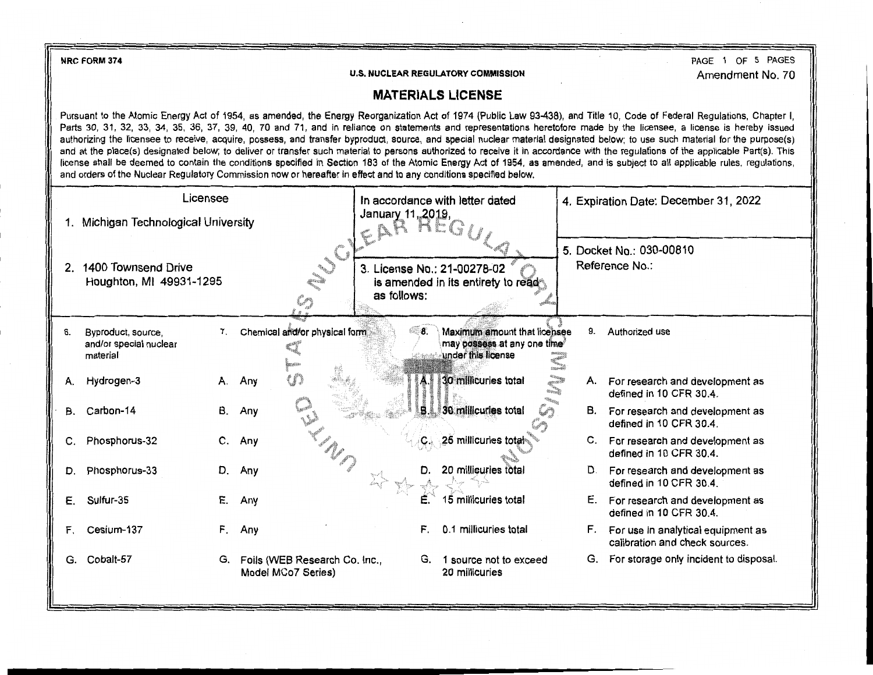**NRC FORM374** 

**U.S. NUCLEAR REGULATORY COMMISSION** 

PAGE 1 OF 5 PAGES Amendment No. 70

## **MATERIALS LICENSE**

Pursuant to the Atomic Energy Act of 1954, as amended, the Energy Reorganization Act of 1974 (Public Law 93-438), and Title 10, Code of Federal Regulations, Chapter I, Parts 30, 31, 32, 33, 34, 35, 36, 37, 39, 40, 70 and 71, and in reliance on statements and representations heretofore made by the licensee, a license is hereby issued authorizing the licensee to receive, acquire, possess, and transfer byproduct, source, and special nuclear material designated below; to use such material for the purpose(s) and at the place(s) designated below; to deliver or transfer such material to persons authorized to receive it in accordance with the regulations of the applicable Part(s). This license shall be deemed to contain the conditions specified in Section 183 of the Atomic Energy Act of 1954, as amended, and is subject to all applicable rules, regulations, and orders of the Nuclear Regulatory Commission now or hereafter in effect and to any conditions specified below.

| Licensee |                                                          |    |                                                     | In accordance with letter dated |    | 4. Expiration Date: December 31, 2022                                             |              |    |                                                                         |
|----------|----------------------------------------------------------|----|-----------------------------------------------------|---------------------------------|----|-----------------------------------------------------------------------------------|--------------|----|-------------------------------------------------------------------------|
|          | 1. Michigan Technological University                     |    |                                                     | January 11, 2019,               |    |                                                                                   |              |    |                                                                         |
| 2.       | 1400 Townsend Drive<br>Houghton, MI 49931-1295           |    | NU CI<br>Cŋ                                         | as follows:                     |    | 3. License No.: 21-00278-02<br>is amended in its entirety to read                 |              |    | 5. Docket No.: 030-00810<br>Reference No.:                              |
| 6.       | Byproduct, source,<br>and/or special nuclear<br>material | 7. | Chemical and/or physical form                       |                                 | 8. | Maximum amount that licensee<br>may possess at any one time<br>under this license | COULUI DEFEN | 9. | Authorized use                                                          |
| А.       | Hydrogen-3                                               | А. | U)<br>Any                                           |                                 |    | 30 millicuries total<br><b>Burnett</b>                                            |              |    | A. For research and development as<br>defined in 10 CFR 30.4.           |
| В.       | Carbon-14                                                | В. | Any                                                 |                                 |    | <b>B.</b> 30 millicuries total<br>$\mathcal{L}_{\mathcal{D}}$                     |              |    | B. For research and development as<br>defined in 10 CFR 30.4.           |
| C.       | Phosphorus-32                                            | C. | Any                                                 |                                 |    | 25 millicuries total                                                              |              |    | C. For research and development as<br>defined in 10 CFR 30.4.           |
| D.       | Phosphorus-33                                            | D. | Any                                                 |                                 |    | 20 millicuries total                                                              |              |    | D. For research and development as<br>defined in 10 CFR 30.4.           |
| Е.       | Sulfur-35                                                | Е. | Any                                                 |                                 |    | 15 millicuries total                                                              |              |    | E. For research and development as<br>defined in 10 CFR 30.4.           |
| F.       | Cesium-137                                               | F. | Any                                                 |                                 | F. | 0.1 millicuries total                                                             |              |    | F. For use in analytical equipment as<br>calibration and check sources. |
| G.       | Cobalt-57                                                | G. | Foils (WEB Research Co. Inc.,<br>Model MCo7 Series) |                                 | G. | 1 source not to exceed<br>20 millicuries                                          |              | G. | For storage only incident to disposal.                                  |
|          |                                                          |    |                                                     |                                 |    |                                                                                   |              |    |                                                                         |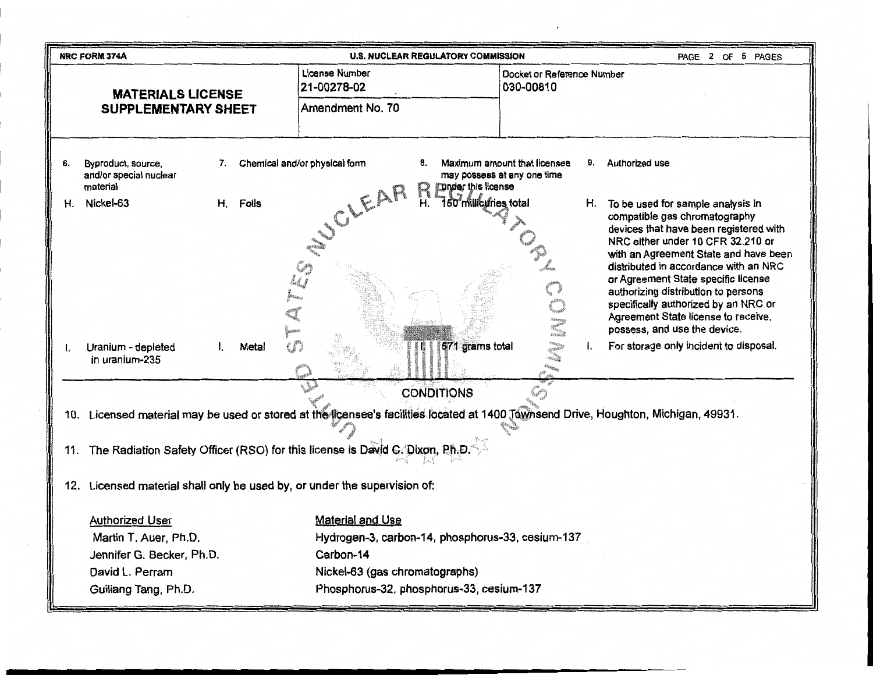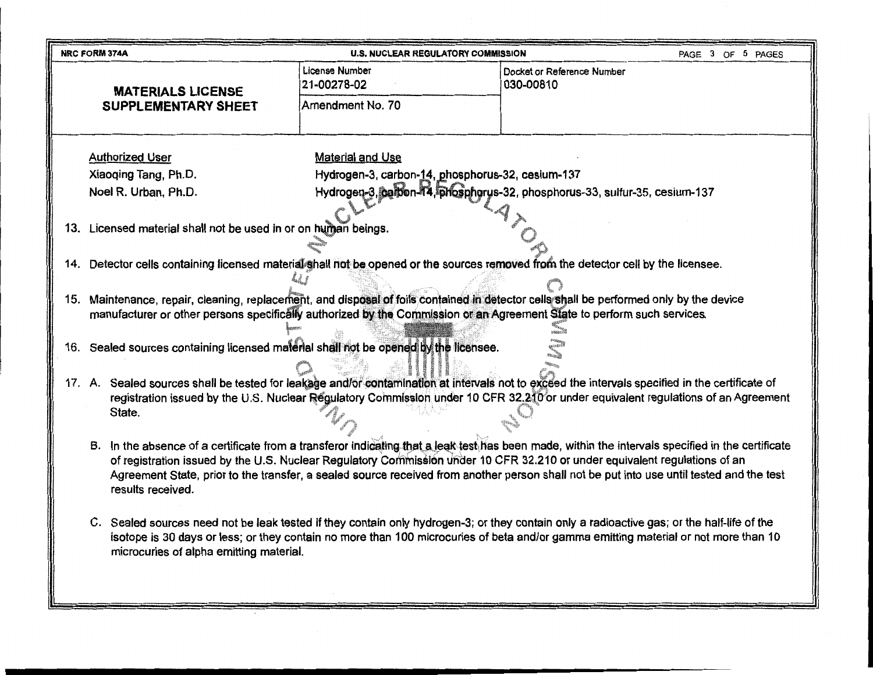|  | <b>NRC FORM 374A</b>                                                                                                                                                                                                                                                                 | <b>U.S. NUCLEAR REGULATORY COMMISSION</b>                                                                                           |                                         | PAGE 3 OF 5 PAGES |  |  |  |
|--|--------------------------------------------------------------------------------------------------------------------------------------------------------------------------------------------------------------------------------------------------------------------------------------|-------------------------------------------------------------------------------------------------------------------------------------|-----------------------------------------|-------------------|--|--|--|
|  | <b>MATERIALS LICENSE</b>                                                                                                                                                                                                                                                             | License Number<br>21-00278-02                                                                                                       | Docket or Reference Number<br>030-00810 |                   |  |  |  |
|  | <b>SUPPLEMENTARY SHEET</b>                                                                                                                                                                                                                                                           | Amendment No. 70                                                                                                                    |                                         |                   |  |  |  |
|  | <b>Authorized User</b>                                                                                                                                                                                                                                                               | Material and Use                                                                                                                    |                                         |                   |  |  |  |
|  | Xiaoqing Tang, Ph.D.                                                                                                                                                                                                                                                                 | Hydrogen-3, carbon-14, phosphorus-32, cesium-137                                                                                    |                                         |                   |  |  |  |
|  | Noel R. Urban, Ph.D.                                                                                                                                                                                                                                                                 | Hydrogen-3, carbon-44, phosphorus-32, phosphorus-33, sulfur-35, cesium-137                                                          |                                         |                   |  |  |  |
|  |                                                                                                                                                                                                                                                                                      |                                                                                                                                     |                                         |                   |  |  |  |
|  | 13. Licensed material shall not be used in or on human beings.                                                                                                                                                                                                                       |                                                                                                                                     |                                         |                   |  |  |  |
|  |                                                                                                                                                                                                                                                                                      |                                                                                                                                     |                                         |                   |  |  |  |
|  | 14. Detector cells containing licensed material shall not be opened or the sources removed from the detector cell by the licensee.                                                                                                                                                   |                                                                                                                                     |                                         |                   |  |  |  |
|  |                                                                                                                                                                                                                                                                                      |                                                                                                                                     |                                         |                   |  |  |  |
|  | 15. Maintenance, repair, cleaning, replacement, and disposal of foils contained in detector cells shall be performed only by the device                                                                                                                                              |                                                                                                                                     |                                         |                   |  |  |  |
|  | manufacturer or other persons specifically authorized by the Commission or an Agreement State to perform such services.                                                                                                                                                              |                                                                                                                                     |                                         |                   |  |  |  |
|  |                                                                                                                                                                                                                                                                                      |                                                                                                                                     |                                         |                   |  |  |  |
|  | 16. Sealed sources containing licensed material shall not be opened by the licensee.                                                                                                                                                                                                 |                                                                                                                                     |                                         |                   |  |  |  |
|  |                                                                                                                                                                                                                                                                                      |                                                                                                                                     |                                         |                   |  |  |  |
|  | 17. A. Sealed sources shall be tested for leakage and/or contamination at intervals not to exceed the intervals specified in the certificate of<br>registration issued by the U.S. Nuclear Regulatory Commission under 10 CFR 32.210 or under equivalent regulations of an Agreement |                                                                                                                                     |                                         |                   |  |  |  |
|  |                                                                                                                                                                                                                                                                                      |                                                                                                                                     |                                         |                   |  |  |  |
|  | State.                                                                                                                                                                                                                                                                               |                                                                                                                                     |                                         |                   |  |  |  |
|  | B. In the absence of a certificate from a transferor indicating that a leak test has been made, within the intervals specified in the certificate                                                                                                                                    |                                                                                                                                     |                                         |                   |  |  |  |
|  | of registration issued by the U.S. Nuclear Regulatory Commission under 10 CFR 32.210 or under equivalent regulations of an<br>Agreement State, prior to the transfer, a sealed source received from another person shall not be put into use until tested and the test               |                                                                                                                                     |                                         |                   |  |  |  |
|  | results received.                                                                                                                                                                                                                                                                    |                                                                                                                                     |                                         |                   |  |  |  |
|  | C. Sealed sources need not be leak tested if they contain only hydrogen-3; or they contain only a radioactive gas; or the half-life of the<br>microcuries of alpha emitting material.                                                                                                | isotope is 30 days or less; or they contain no more than 100 microcuries of beta and/or gamma emitting material or not more than 10 |                                         |                   |  |  |  |
|  |                                                                                                                                                                                                                                                                                      |                                                                                                                                     |                                         |                   |  |  |  |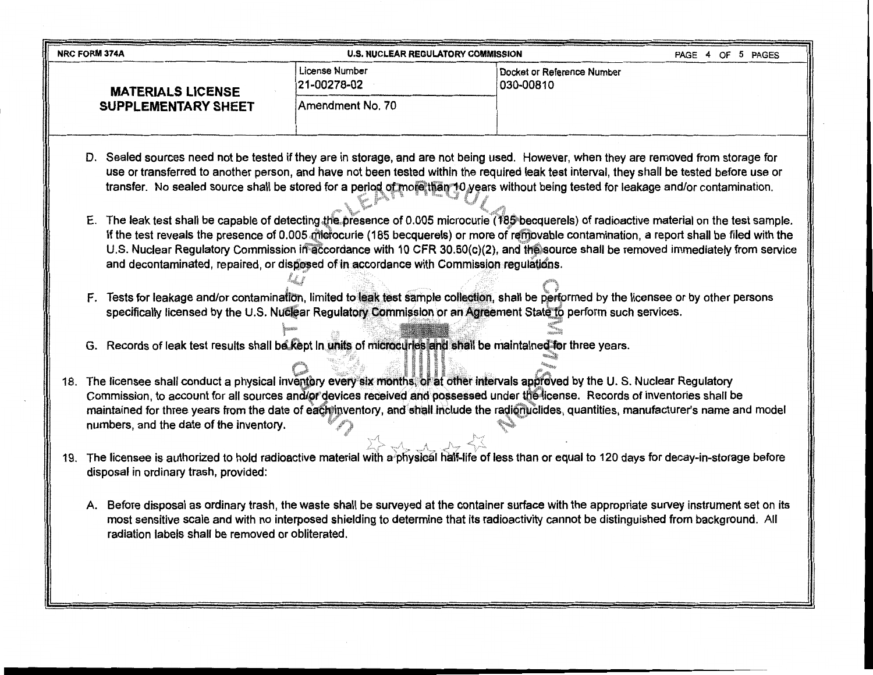| NRC FORM 374A                                                                                                                                                                                                                                                                                                                                                                                                                                                                                                                                                                                                                                                                                                                                                                                                                                                                                                                                                                                                                                                                                                                                                                                                                                                                                                                                                                                                                  | <b>U.S. NUCLEAR REGULATORY COMMISSION</b>                                                                                                                                                                                                                                                                                                                                                                                                                                                                                                                                                                                                                                                                                                                                                                                                                                                                                     |                                         | PAGE 4 OF 5 PAGES |
|--------------------------------------------------------------------------------------------------------------------------------------------------------------------------------------------------------------------------------------------------------------------------------------------------------------------------------------------------------------------------------------------------------------------------------------------------------------------------------------------------------------------------------------------------------------------------------------------------------------------------------------------------------------------------------------------------------------------------------------------------------------------------------------------------------------------------------------------------------------------------------------------------------------------------------------------------------------------------------------------------------------------------------------------------------------------------------------------------------------------------------------------------------------------------------------------------------------------------------------------------------------------------------------------------------------------------------------------------------------------------------------------------------------------------------|-------------------------------------------------------------------------------------------------------------------------------------------------------------------------------------------------------------------------------------------------------------------------------------------------------------------------------------------------------------------------------------------------------------------------------------------------------------------------------------------------------------------------------------------------------------------------------------------------------------------------------------------------------------------------------------------------------------------------------------------------------------------------------------------------------------------------------------------------------------------------------------------------------------------------------|-----------------------------------------|-------------------|
| <b>MATERIALS LICENSE</b>                                                                                                                                                                                                                                                                                                                                                                                                                                                                                                                                                                                                                                                                                                                                                                                                                                                                                                                                                                                                                                                                                                                                                                                                                                                                                                                                                                                                       | License Number<br>21-00278-02                                                                                                                                                                                                                                                                                                                                                                                                                                                                                                                                                                                                                                                                                                                                                                                                                                                                                                 | Docket or Reference Number<br>030-00810 |                   |
| <b>SUPPLEMENTARY SHEET</b>                                                                                                                                                                                                                                                                                                                                                                                                                                                                                                                                                                                                                                                                                                                                                                                                                                                                                                                                                                                                                                                                                                                                                                                                                                                                                                                                                                                                     | Amendment No. 70                                                                                                                                                                                                                                                                                                                                                                                                                                                                                                                                                                                                                                                                                                                                                                                                                                                                                                              |                                         |                   |
| D. Sealed sources need not be tested if they are in storage, and are not being used. However, when they are removed from storage for<br>E. The leak test shall be capable of detecting the presence of 0.005 microcurie (185 becquerels) of radioactive material on the test sample.<br>F. Tests for leakage and/or contamination, limited to leak test sample collection, shall be performed by the licensee or by other persons<br>G. Records of leak test results shall be kept in units of microcuries and shall be maintained for three years.<br>The licensee shall conduct a physical inventory every six months, or at other intervals approved by the U.S. Nuclear Regulatory<br>18.<br>Commission, to account for all sources and/or devices received and possessed under the license. Records of inventories shall be<br>maintained for three years from the date of each inventory, and shall include the radionuclides, quantities, manufacturer's name and model<br>numbers, and the date of the inventory.<br>19. The licensee is authorized to hold radioactive material with a physical half-life of less than or equal to 120 days for decay-in-storage before<br>disposal in ordinary trash, provided:<br>A. Before disposal as ordinary trash, the waste shall be surveyed at the container surface with the appropriate survey instrument set on its<br>radiation labels shall be removed or obliterated. | use or transferred to another person, and have not been tested within the required leak test interval, they shall be tested before use or<br>transfer. No sealed source shall be stored for a period of more than 10 years without being tested for leakage and/or contamination.<br>If the test reveals the presence of 0.005 microcurie (185 becquerels) or more of removable contamination, a report shall be filed with the<br>U.S. Nuclear Regulatory Commission in accordance with 10 CFR 30.50(c)(2), and the source shall be removed immediately from service<br>and decontaminated, repaired, or disposed of in accordance with Commission regulations.<br>specifically licensed by the U.S. Nuclear Regulatory Commission or an Agreement State to perform such services.<br>most sensitive scale and with no interposed shielding to determine that its radioactivity cannot be distinguished from background. All |                                         |                   |